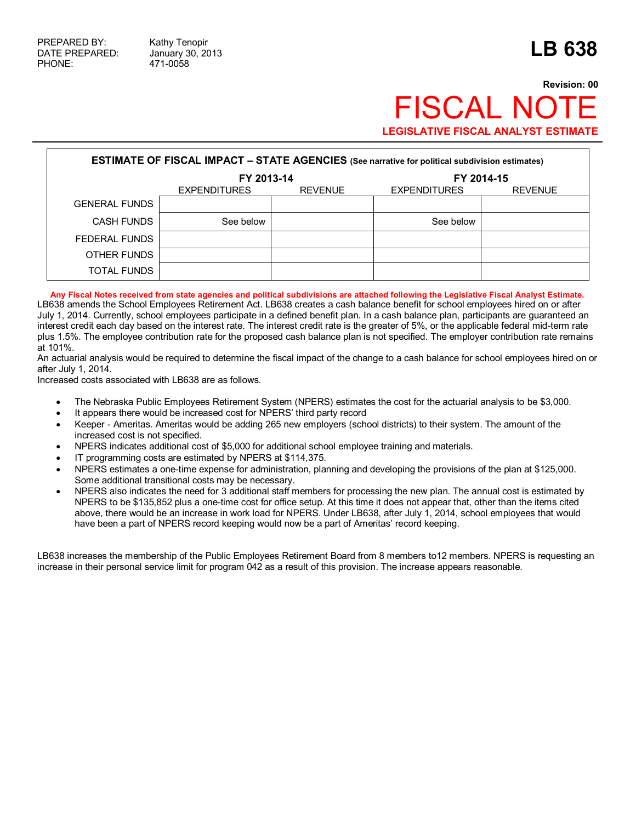## **Revision: 00 FISCAL NO LEGISLATIVE FISCAL ANALYST ESTIMATE**

| <b>ESTIMATE OF FISCAL IMPACT - STATE AGENCIES (See narrative for political subdivision estimates)</b> |                     |                |                     |                |  |  |  |  |
|-------------------------------------------------------------------------------------------------------|---------------------|----------------|---------------------|----------------|--|--|--|--|
|                                                                                                       | FY 2013-14          |                | FY 2014-15          |                |  |  |  |  |
|                                                                                                       | <b>EXPENDITURES</b> | <b>REVENUE</b> | <b>EXPENDITURES</b> | <b>REVENUE</b> |  |  |  |  |
| <b>GENERAL FUNDS</b>                                                                                  |                     |                |                     |                |  |  |  |  |
| <b>CASH FUNDS</b>                                                                                     | See below           |                | See below           |                |  |  |  |  |
| FEDERAL FUNDS                                                                                         |                     |                |                     |                |  |  |  |  |
| OTHER FUNDS                                                                                           |                     |                |                     |                |  |  |  |  |
| TOTAL FUNDS                                                                                           |                     |                |                     |                |  |  |  |  |

**Any Fiscal Notes received from state agencies and political subdivisions are attached following the Legislative Fiscal Analyst Estimate.**  LB638 amends the School Employees Retirement Act. LB638 creates a cash balance benefit for school employees hired on or after July 1, 2014. Currently, school employees participate in a defined benefit plan. In a cash balance plan, participants are guaranteed an interest credit each day based on the interest rate. The interest credit rate is the greater of 5%, or the applicable federal mid-term rate plus 1.5%. The employee contribution rate for the proposed cash balance plan is not specified. The employer contribution rate remains at 101%.

An actuarial analysis would be required to determine the fiscal impact of the change to a cash balance for school employees hired on or after July 1, 2014.

Increased costs associated with LB638 are as follows.

- · The Nebraska Public Employees Retirement System (NPERS) estimates the cost for the actuarial analysis to be \$3,000.
- It appears there would be increased cost for NPERS' third party record
- · Keeper Ameritas. Ameritas would be adding 265 new employers (school districts) to their system. The amount of the increased cost is not specified.
- · NPERS indicates additional cost of \$5,000 for additional school employee training and materials.
- IT programming costs are estimated by NPERS at \$114,375.
- · NPERS estimates a one-time expense for administration, planning and developing the provisions of the plan at \$125,000. Some additional transitional costs may be necessary.
- NPERS also indicates the need for 3 additional staff members for processing the new plan. The annual cost is estimated by NPERS to be \$135,852 plus a one-time cost for office setup. At this time it does not appear that, other than the items cited above, there would be an increase in work load for NPERS. Under LB638, after July 1, 2014, school employees that would have been a part of NPERS record keeping would now be a part of Ameritas' record keeping.

LB638 increases the membership of the Public Employees Retirement Board from 8 members to12 members. NPERS is requesting an increase in their personal service limit for program 042 as a result of this provision. The increase appears reasonable.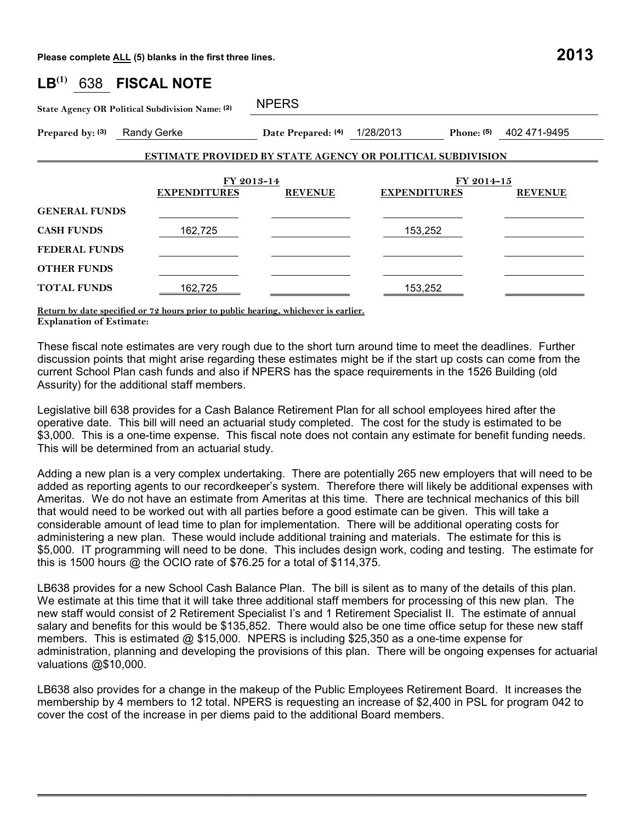**Please complete ALL (5) blanks in the first three lines. 2013**

| LB <sup>(1)</sup><br>638                                          | <b>FISCAL NOTE</b> |                              |                                                     |              |  |  |  |  |
|-------------------------------------------------------------------|--------------------|------------------------------|-----------------------------------------------------|--------------|--|--|--|--|
| State Agency OR Political Subdivision Name: (2)                   |                    | <b>NPERS</b>                 |                                                     |              |  |  |  |  |
| Prepared by: (3)<br><b>Randy Gerke</b>                            |                    | Date Prepared: (4) 1/28/2013 | Phone: $(5)$                                        | 402 471-9495 |  |  |  |  |
| <b>ESTIMATE PROVIDED BY STATE AGENCY OR POLITICAL SUBDIVISION</b> |                    |                              |                                                     |              |  |  |  |  |
| <b>EXPENDITURES</b>                                               |                    | FY 2013-14<br><b>REVENUE</b> | FY 2014-15<br><b>EXPENDITURES</b><br><b>REVENUE</b> |              |  |  |  |  |
| <b>GENERAL FUNDS</b>                                              |                    |                              |                                                     |              |  |  |  |  |
| <b>CASH FUNDS</b><br>162,725                                      |                    |                              | 153,252                                             |              |  |  |  |  |
| <b>FEDERAL FUNDS</b>                                              |                    |                              |                                                     |              |  |  |  |  |
| <b>OTHER FUNDS</b>                                                |                    |                              |                                                     |              |  |  |  |  |
| <b>TOTAL FUNDS</b>                                                | 162,725            |                              | 153,252                                             |              |  |  |  |  |

**Return by date specified or 72 hours prior to public hearing, whichever is earlier. Explanation of Estimate:** 

These fiscal note estimates are very rough due to the short turn around time to meet the deadlines. Further discussion points that might arise regarding these estimates might be if the start up costs can come from the current School Plan cash funds and also if NPERS has the space requirements in the 1526 Building (old Assurity) for the additional staff members.

Legislative bill 638 provides for a Cash Balance Retirement Plan for all school employees hired after the operative date. This bill will need an actuarial study completed. The cost for the study is estimated to be \$3,000. This is a one-time expense. This fiscal note does not contain any estimate for benefit funding needs. This will be determined from an actuarial study.

Adding a new plan is a very complex undertaking. There are potentially 265 new employers that will need to be added as reporting agents to our recordkeeper's system. Therefore there will likely be additional expenses with Ameritas. We do not have an estimate from Ameritas at this time. There are technical mechanics of this bill that would need to be worked out with all parties before a good estimate can be given. This will take a considerable amount of lead time to plan for implementation. There will be additional operating costs for administering a new plan. These would include additional training and materials. The estimate for this is \$5,000. IT programming will need to be done. This includes design work, coding and testing. The estimate for this is 1500 hours @ the OCIO rate of \$76.25 for a total of \$114,375.

LB638 provides for a new School Cash Balance Plan. The bill is silent as to many of the details of this plan. We estimate at this time that it will take three additional staff members for processing of this new plan. The new staff would consist of 2 Retirement Specialist I's and 1 Retirement Specialist II. The estimate of annual salary and benefits for this would be \$135,852. There would also be one time office setup for these new staff members. This is estimated @ \$15,000. NPERS is including \$25,350 as a one-time expense for administration, planning and developing the provisions of this plan. There will be ongoing expenses for actuarial valuations @\$10,000.

LB638 also provides for a change in the makeup of the Public Employees Retirement Board. It increases the membership by 4 members to 12 total. NPERS is requesting an increase of \$2,400 in PSL for program 042 to cover the cost of the increase in per diems paid to the additional Board members.

 $\mathcal{L}_\mathcal{L} = \{ \mathcal{L}_\mathcal{L} = \{ \mathcal{L}_\mathcal{L} = \{ \mathcal{L}_\mathcal{L} = \{ \mathcal{L}_\mathcal{L} = \{ \mathcal{L}_\mathcal{L} = \{ \mathcal{L}_\mathcal{L} = \{ \mathcal{L}_\mathcal{L} = \{ \mathcal{L}_\mathcal{L} = \{ \mathcal{L}_\mathcal{L} = \{ \mathcal{L}_\mathcal{L} = \{ \mathcal{L}_\mathcal{L} = \{ \mathcal{L}_\mathcal{L} = \{ \mathcal{L}_\mathcal{L} = \{ \mathcal{L}_\mathcal{$